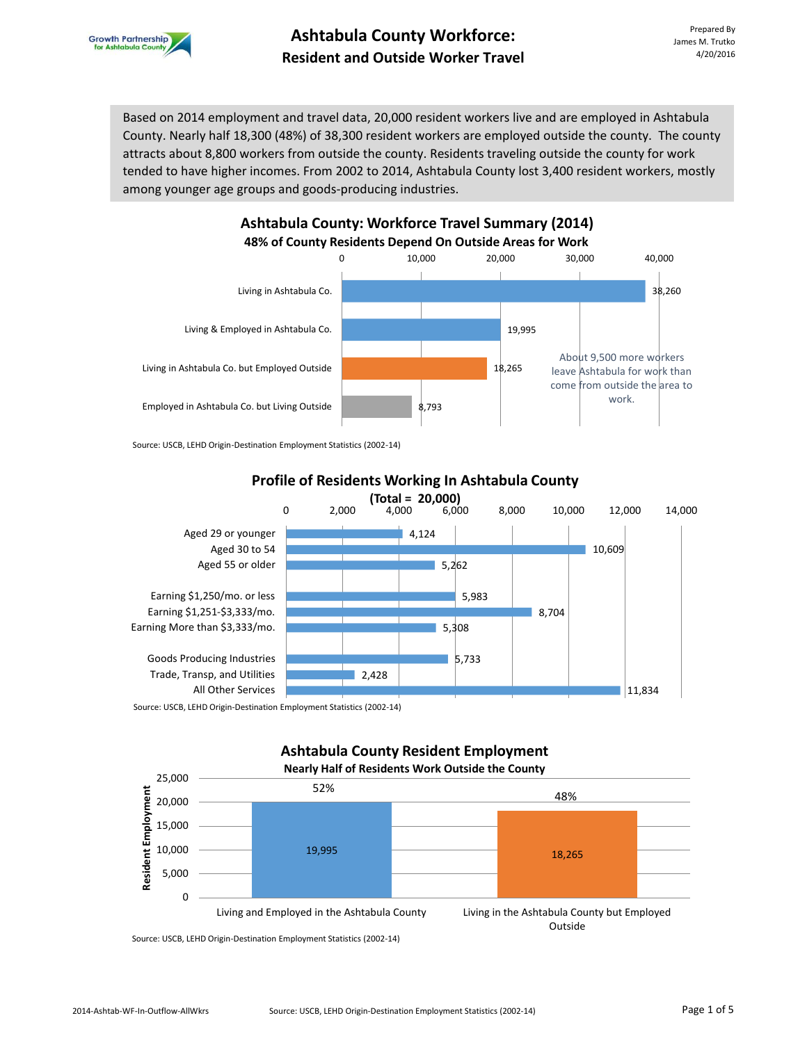

Based on 2014 employment and travel data, 20,000 resident workers live and are employed in Ashtabula County. Nearly half 18,300 (48%) of 38,300 resident workers are employed outside the county. The county attracts about 8,800 workers from outside the county. Residents traveling outside the county for work tended to have higher incomes. From 2002 to 2014, Ashtabula County lost 3,400 resident workers, mostly among younger age groups and goods-producing industries.



Source: USCB, LEHD Origin-Destination Employment Statistics (2002-14)



**Profile of Residents Working In Ashtabula County** 

# **Ashtabula County Resident Employment**



Source: USCB, LEHD Origin-Destination Employment Statistics (2002-14)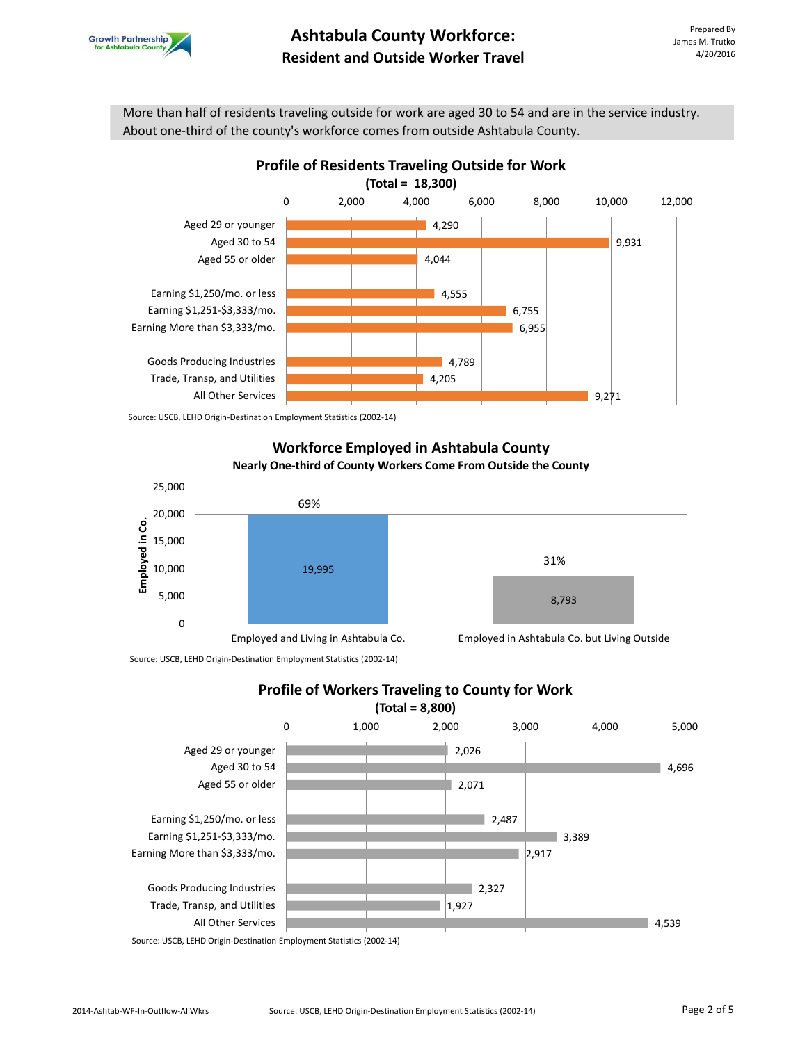

More than half of residents traveling outside for work are aged 30 to 54 and are in the service industry. About one-third of the county's workforce comes from outside Ashtabula County.



Source: USCB, LEHD Origin-Destination Employment Statistics (2002-14)

#### **Workforce Employed in Ashtabula County Nearly One-third of County Workers Come From Outside the County**



Source: USCB, LEHD Origin-Destination Employment Statistics (2002-14)



**Profile of Workers Traveling to County for Work** 

Source: USCB, LEHD Origin-Destination Employment Statistics (2002-14)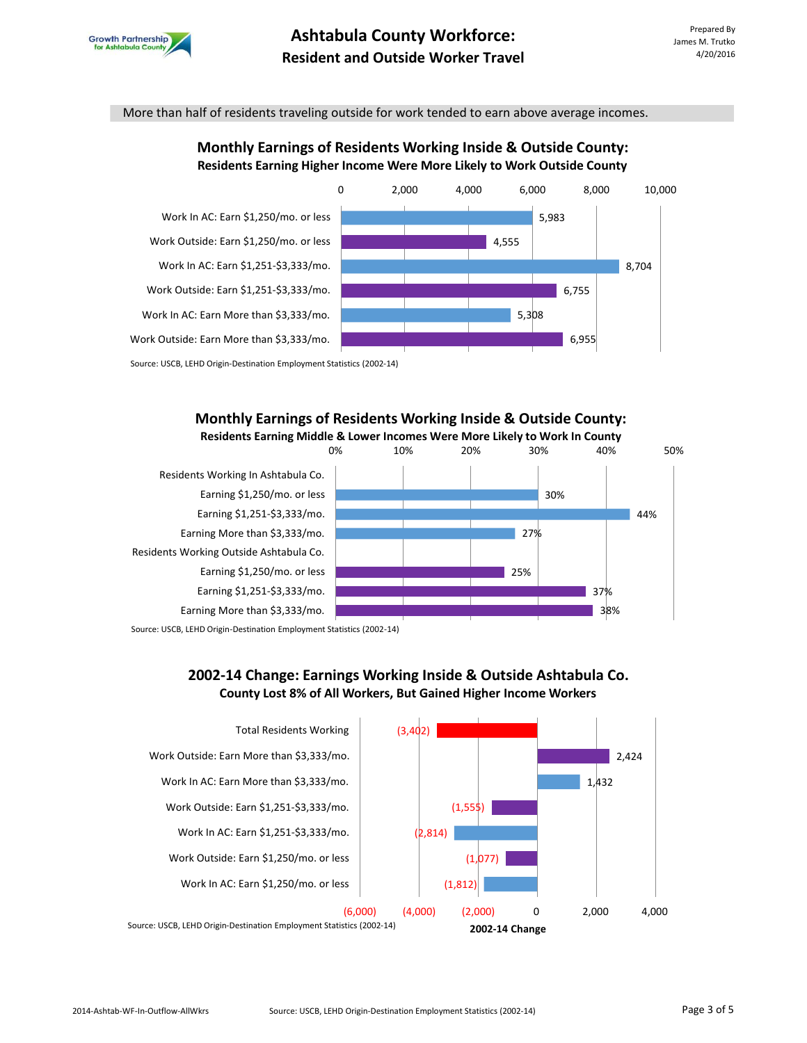

More than half of residents traveling outside for work tended to earn above average incomes.

## **Monthly Earnings of Residents Working Inside & Outside County: Residents Earning Higher Income Were More Likely to Work Outside County**



### **Monthly Earnings of Residents Working Inside & Outside County: Residents Earning Middle & Lower Incomes Were More Likely to Work In County**



Source: USCB, LEHD Origin-Destination Employment Statistics (2002-14)

## **2002-14 Change: Earnings Working Inside & Outside Ashtabula Co. County Lost 8% of All Workers, But Gained Higher Income Workers**

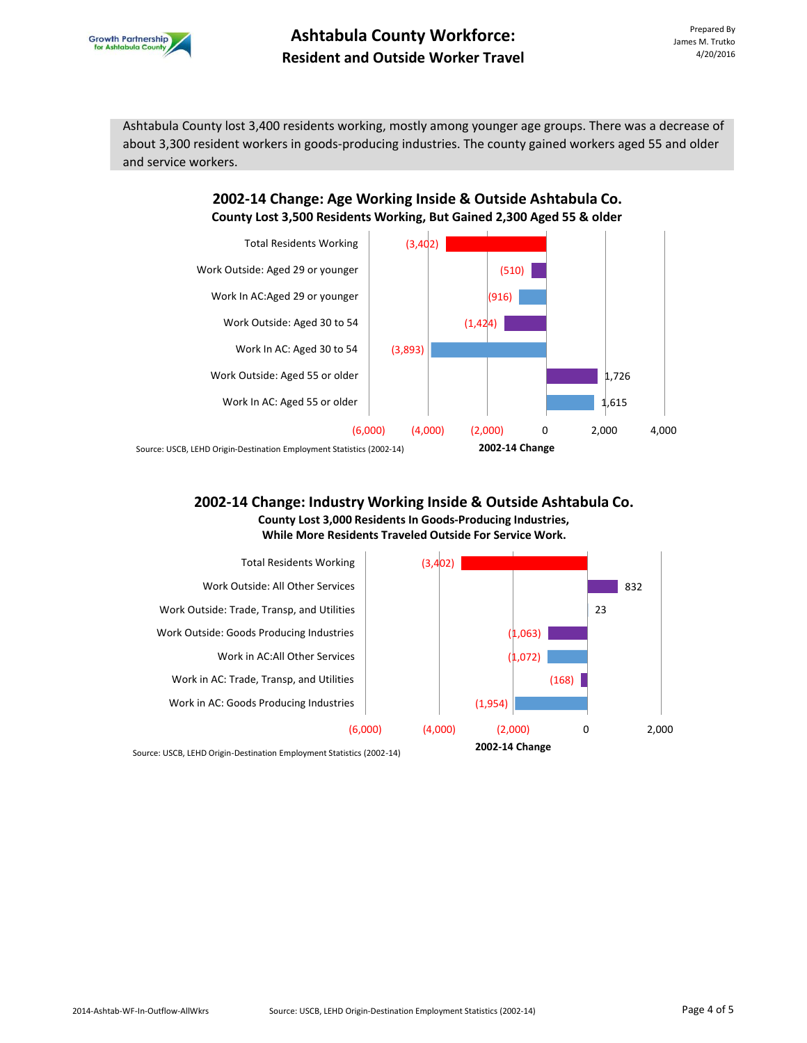

## **Ashtabula County Workforce: Resident and Outside Worker Travel**

Ashtabula County lost 3,400 residents working, mostly among younger age groups. There was a decrease of about 3,300 resident workers in goods-producing industries. The county gained workers aged 55 and older and service workers.

## **2002-14 Change: Age Working Inside & Outside Ashtabula Co. County Lost 3,500 Residents Working, But Gained 2,300 Aged 55 & older**



Source: USCB, LEHD Origin-Destination Employment Statistics (2002-14)

### **2002-14 Change: Industry Working Inside & Outside Ashtabula Co. County Lost 3,000 Residents In Goods-Producing Industries, While More Residents Traveled Outside For Service Work.**



Source: USCB, LEHD Origin-Destination Employment Statistics (2002-14)